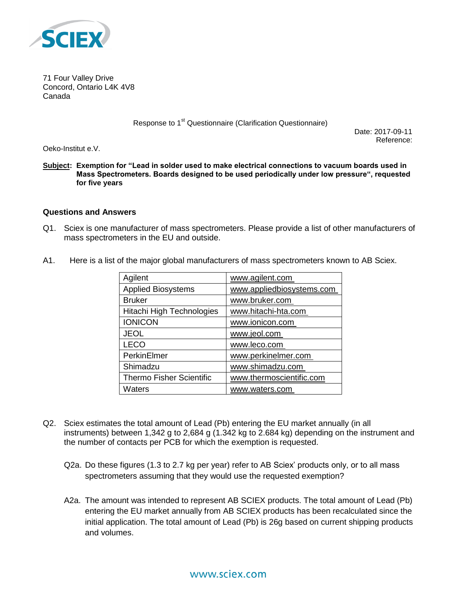

71 Four Valley Drive Concord, Ontario L4K 4V8 Canada

Response to 1<sup>st</sup> Questionnaire (Clarification Questionnaire)

Date: 2017-09-11 Reference:

Oeko-Institut e.V.

**Subject: Exemption for "Lead in solder used to make electrical connections to vacuum boards used in Mass Spectrometers. Boards designed to be used periodically under low pressure", requested for five years**

## **Questions and Answers**

- Q1. Sciex is one manufacturer of mass spectrometers. Please provide a list of other manufacturers of mass spectrometers in the EU and outside.
- A1. Here is a list of the major global manufacturers of mass spectrometers known to AB Sciex.

| Agilent                         | www.agilent.com           |
|---------------------------------|---------------------------|
| <b>Applied Biosystems</b>       | www.appliedbiosystems.com |
| <b>Bruker</b>                   | www.bruker.com            |
| Hitachi High Technologies       | www.hitachi-hta.com       |
| <b>IONICON</b>                  | www.ionicon.com           |
| <b>JEOL</b>                     | www.jeol.com              |
| <b>LECO</b>                     | www.leco.com              |
| PerkinElmer                     | www.perkinelmer.com       |
| Shimadzu                        | www.shimadzu.com          |
| <b>Thermo Fisher Scientific</b> | www.thermoscientific.com  |
| Waters                          | www.waters.com            |

- Q2. Sciex estimates the total amount of Lead (Pb) entering the EU market annually (in all instruments) between 1,342 g to 2,684 g (1.342 kg to 2.684 kg) depending on the instrument and the number of contacts per PCB for which the exemption is requested.
	- Q2a. Do these figures (1.3 to 2.7 kg per year) refer to AB Sciex' products only, or to all mass spectrometers assuming that they would use the requested exemption?
	- A2a. The amount was intended to represent AB SCIEX products. The total amount of Lead (Pb) entering the EU market annually from AB SCIEX products has been recalculated since the initial application. The total amount of Lead (Pb) is 26g based on current shipping products and volumes.

## www.sciex.com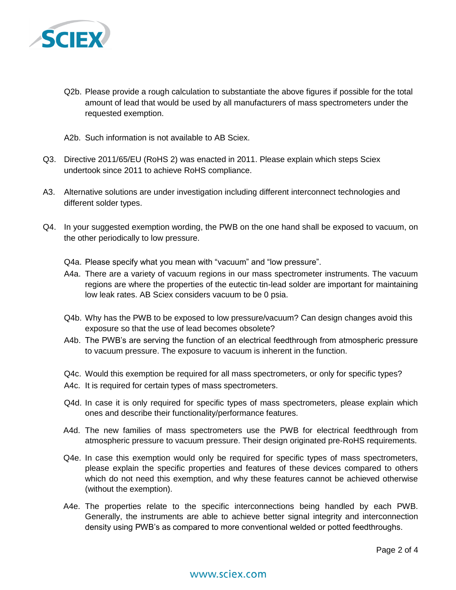

- Q2b. Please provide a rough calculation to substantiate the above figures if possible for the total amount of lead that would be used by all manufacturers of mass spectrometers under the requested exemption.
- A2b. Such information is not available to AB Sciex.
- Q3. Directive 2011/65/EU (RoHS 2) was enacted in 2011. Please explain which steps Sciex undertook since 2011 to achieve RoHS compliance.
- A3. Alternative solutions are under investigation including different interconnect technologies and different solder types.
- Q4. In your suggested exemption wording, the PWB on the one hand shall be exposed to vacuum, on the other periodically to low pressure.
	- Q4a. Please specify what you mean with "vacuum" and "low pressure".
	- A4a. There are a variety of vacuum regions in our mass spectrometer instruments. The vacuum regions are where the properties of the eutectic tin-lead solder are important for maintaining low leak rates. AB Sciex considers vacuum to be 0 psia.
	- Q4b. Why has the PWB to be exposed to low pressure/vacuum? Can design changes avoid this exposure so that the use of lead becomes obsolete?
	- A4b. The PWB's are serving the function of an electrical feedthrough from atmospheric pressure to vacuum pressure. The exposure to vacuum is inherent in the function.
	- Q4c. Would this exemption be required for all mass spectrometers, or only for specific types?
	- A4c. It is required for certain types of mass spectrometers.
	- Q4d. In case it is only required for specific types of mass spectrometers, please explain which ones and describe their functionality/performance features.
	- A4d. The new families of mass spectrometers use the PWB for electrical feedthrough from atmospheric pressure to vacuum pressure. Their design originated pre-RoHS requirements.
	- Q4e. In case this exemption would only be required for specific types of mass spectrometers, please explain the specific properties and features of these devices compared to others which do not need this exemption, and why these features cannot be achieved otherwise (without the exemption).
	- A4e. The properties relate to the specific interconnections being handled by each PWB. Generally, the instruments are able to achieve better signal integrity and interconnection density using PWB's as compared to more conventional welded or potted feedthroughs.

## www.sciex.com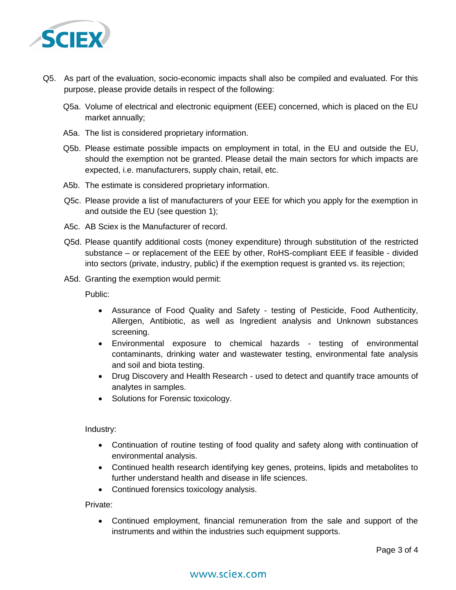

- Q5. As part of the evaluation, socio-economic impacts shall also be compiled and evaluated. For this purpose, please provide details in respect of the following:
	- Q5a. Volume of electrical and electronic equipment (EEE) concerned, which is placed on the EU market annually;
	- A5a. The list is considered proprietary information.
	- Q5b. Please estimate possible impacts on employment in total, in the EU and outside the EU, should the exemption not be granted. Please detail the main sectors for which impacts are expected, i.e. manufacturers, supply chain, retail, etc.
	- A5b. The estimate is considered proprietary information.
	- Q5c. Please provide a list of manufacturers of your EEE for which you apply for the exemption in and outside the EU (see question 1);
	- A5c. AB Sciex is the Manufacturer of record.
	- Q5d. Please quantify additional costs (money expenditure) through substitution of the restricted substance – or replacement of the EEE by other, RoHS-compliant EEE if feasible - divided into sectors (private, industry, public) if the exemption request is granted vs. its rejection;
	- A5d. Granting the exemption would permit:

Public:

- Assurance of Food Quality and Safety testing of Pesticide, Food Authenticity, Allergen, Antibiotic, as well as Ingredient analysis and Unknown substances screening.
- Environmental exposure to chemical hazards testing of environmental contaminants, drinking water and wastewater testing, environmental fate analysis and soil and biota testing.
- Drug Discovery and Health Research used to detect and quantify trace amounts of analytes in samples.
- Solutions for Forensic toxicology.

Industry:

- Continuation of routine testing of food quality and safety along with continuation of environmental analysis.
- Continued health research identifying key genes, proteins, lipids and metabolites to further understand health and disease in life sciences.
- Continued forensics toxicology analysis.

Private:

 Continued employment, financial remuneration from the sale and support of the instruments and within the industries such equipment supports.

## www.sciex.com